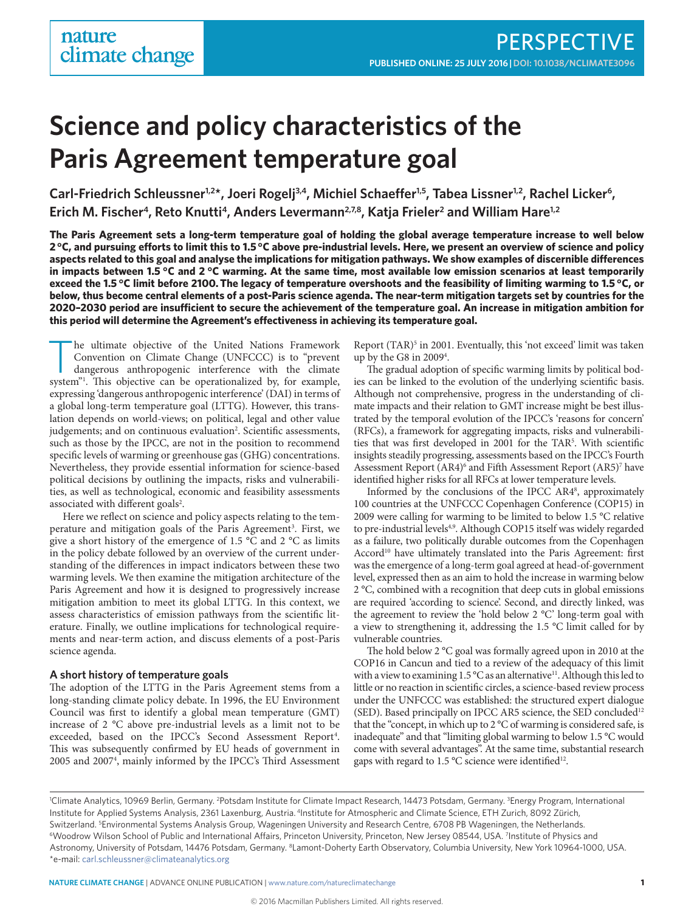# **Science and policy characteristics of the Paris Agreement temperature goal**

Carl-Friedrich Schleussner<sup>1,2\*</sup>, Joeri Rogelj<sup>3,4</sup>, Michiel Schaeffer<sup>1,5</sup>, Tabea Lissner<sup>1,2</sup>, Rachel Licker<sup>6</sup>, Erich M. Fischer<sup>4</sup>, Reto Knutti<sup>4</sup>, Anders Levermann<sup>2,7,8</sup>, Katja Frieler<sup>2</sup> and William Hare<sup>1,2</sup>

**The Paris Agreement sets a long-term temperature goal of holding the global average temperature increase to well below 2 °C, and pursuing efforts to limit this to 1.5 °C above pre-industrial levels. Here, we present an overview of science and policy aspects related to this goal and analyse the implications for mitigation pathways. We show examples of discernible differences in impacts between 1.5 °C and 2 °C warming. At the same time, most available low emission scenarios at least temporarily exceed the 1.5 °C limit before 2100. The legacy of temperature overshoots and the feasibility of limiting warming to 1.5 °C, or below, thus become central elements of a post-Paris science agenda. The near-term mitigation targets set by countries for the 2020–2030 period are insufficient to secure the achievement of the temperature goal. An increase in mitigation ambition for this period will determine the Agreement's effectiveness in achieving its temperature goal.**

he ultimate objective of the United Nations Framework Convention on Climate Change (UNFCCC) is to "prevent dangerous anthropogenic interference with the climate system"1 . This objective can be operationalized by, for example, expressing 'dangerous anthropogenic interference' (DAI) in terms of a global long-term temperature goal (LTTG). However, this translation depends on world-views; on political, legal and other value judgements; and on continuous evaluation<sup>2</sup>. Scientific assessments, such as those by the IPCC, are not in the position to recommend specific levels of warming or greenhouse gas (GHG) concentrations. Nevertheless, they provide essential information for science-based political decisions by outlining the impacts, risks and vulnerabilities, as well as technological, economic and feasibility assessments associated with different goals<sup>2</sup>.

Here we reflect on science and policy aspects relating to the temperature and mitigation goals of the Paris Agreement<sup>3</sup>. First, we give a short history of the emergence of 1.5 °C and 2 °C as limits in the policy debate followed by an overview of the current understanding of the differences in impact indicators between these two warming levels. We then examine the mitigation architecture of the Paris Agreement and how it is designed to progressively increase mitigation ambition to meet its global LTTG. In this context, we assess characteristics of emission pathways from the scientific literature. Finally, we outline implications for technological requirements and near-term action, and discuss elements of a post-Paris science agenda.

### **A short history of temperature goals**

The adoption of the LTTG in the Paris Agreement stems from a long-standing climate policy debate. In 1996, the EU Environment Council was first to identify a global mean temperature (GMT) increase of 2 °C above pre-industrial levels as a limit not to be exceeded, based on the IPCC's Second Assessment Report<sup>4</sup>. This was subsequently confirmed by EU heads of government in 2005 and 20074 , mainly informed by the IPCC's Third Assessment Report (TAR)<sup>5</sup> in 2001. Eventually, this 'not exceed' limit was taken up by the G8 in 2009<sup>4</sup>.

The gradual adoption of specific warming limits by political bodies can be linked to the evolution of the underlying scientific basis. Although not comprehensive, progress in the understanding of climate impacts and their relation to GMT increase might be best illustrated by the temporal evolution of the IPCC's 'reasons for concern' (RFCs), a framework for aggregating impacts, risks and vulnerabilities that was first developed in 2001 for the TAR5 . With scientific insights steadily progressing, assessments based on the IPCC's Fourth Assessment Report (AR4)<sup>6</sup> and Fifth Assessment Report (AR5)<sup>7</sup> have identified higher risks for all RFCs at lower temperature levels.

Informed by the conclusions of the IPCC AR48 , approximately 100 countries at the UNFCCC Copenhagen Conference (COP15) in 2009 were calling for warming to be limited to below 1.5 °C relative to pre-industrial levels<sup>4,9</sup>. Although COP15 itself was widely regarded as a failure, two politically durable outcomes from the Copenhagen Accord<sup>10</sup> have ultimately translated into the Paris Agreement: first was the emergence of a long-term goal agreed at head-of-government level, expressed then as an aim to hold the increase in warming below 2 °C, combined with a recognition that deep cuts in global emissions are required 'according to science'. Second, and directly linked, was the agreement to review the 'hold below 2 °C' long-term goal with a view to strengthening it, addressing the 1.5 °C limit called for by vulnerable countries.

The hold below 2 °C goal was formally agreed upon in 2010 at the COP16 in Cancun and tied to a review of the adequacy of this limit with a view to examining  $1.5^{\circ}$ C as an alternative<sup>11</sup>. Although this led to little or no reaction in scientific circles, a science-based review process under the UNFCCC was established: the structured expert dialogue (SED). Based principally on IPCC AR5 science, the SED concluded<sup>12</sup> that the "concept, in which up to 2 °C of warming is considered safe, is inadequate" and that "limiting global warming to below 1.5 °C would come with several advantages". At the same time, substantial research gaps with regard to 1.5  $\degree$ C science were identified<sup>12</sup>.

<sup>1</sup>Climate Analytics, 10969 Berlin, Germany. <sup>2</sup>Potsdam Institute for Climate Impact Research, 14473 Potsdam, Germany. <sup>3</sup>Energy Program, International Institute for Applied Systems Analysis, 2361 Laxenburg, Austria. 4Institute for Atmospheric and Climate Science, ETH Zurich, 8092 Zürich, Switzerland. <sup>5</sup>Environmental Systems Analysis Group, Wageningen University and Research Centre, 6708 PB Wageningen, the Netherlands. Switzerland. <sup>s</sup>Environmental Systems Analysis Group, Wageningen University and Research Centre, 6708 PB Wageningen, the Netherlands.<br><sup>6</sup>Woodrow Wilson School of Public and International Affairs, Princeton University, Prin Astronomy, University of Potsdam, 14476 Potsdam, Germany. 8Lamont-Doherty Earth Observatory, Columbia University, New York 10964-1000, USA. \*e-mail: [carl.schleussner@climateanalytics.org](mailto:carl.schleussner@climateanalytics.org)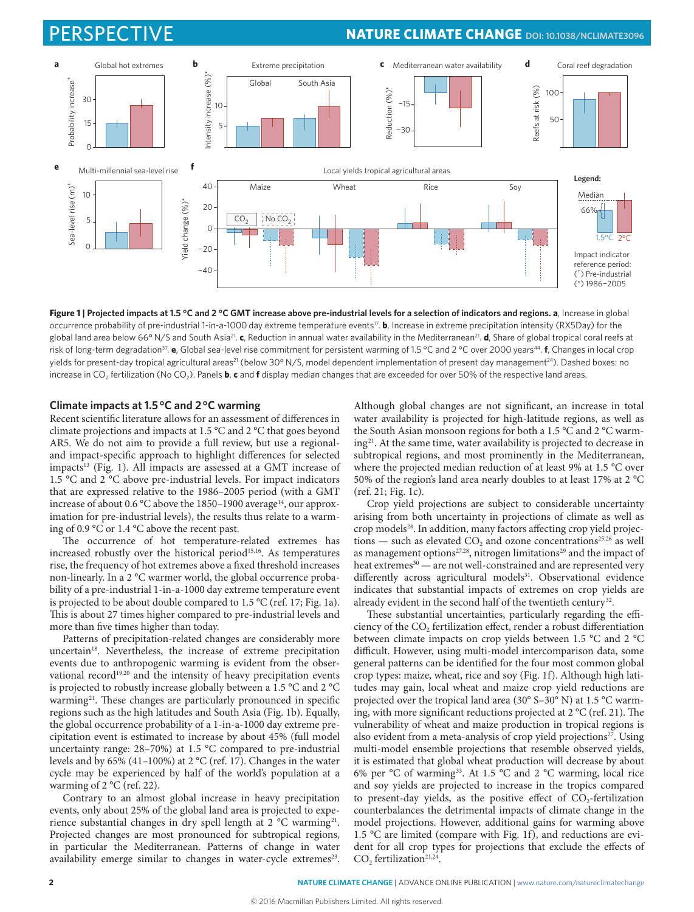# PERSPECTIVE **NATURE CLIMATE CHANGE [DOI: 10.1038/NCLIMATE3096](http://dx.doi.org/10.1038/nclimate3096)**



**Figure 1 | Projected impacts at 1.5 °C and 2 °C GMT increase above pre-industrial levels for a selection of indicators and regions. a**, Increase in global occurrence probability of pre-industrial 1-in-a-1000 day extreme temperature events<sup>17</sup>. **b**, Increase in extreme precipitation intensity (RX5Day) for the global land area below 66° N/S and South Asia21. **c**, Reduction in annual water availability in the Mediterranean21. **d**, Share of global tropical coral reefs at risk of long-term degradation<sup>37</sup>. **e**, Global sea-level rise commitment for persistent warming of 1.5 °C and 2 °C over 2000 years<sup>44</sup>. **f**, Changes in local crop yields for present-day tropical agricultural areas<sup>21</sup> (below 30° N/S, model dependent implementation of present day management<sup>24</sup>). Dashed boxes: no increase in CO<sub>2</sub> fertilization (No CO<sub>2</sub>). Panels **b, c** and **f** display median changes that are exceeded for over 50% of the respective land areas.

### **Climate impacts at 1.5 °C and 2 °C warming**

Recent scientific literature allows for an assessment of differences in climate projections and impacts at 1.5 °C and 2 °C that goes beyond AR5. We do not aim to provide a full review, but use a regionaland impact-specific approach to highlight differences for selected impacts<sup>13</sup> (Fig. 1). All impacts are assessed at a GMT increase of 1.5 °C and 2 °C above pre-industrial levels. For impact indicators that are expressed relative to the 1986–2005 period (with a GMT increase of about 0.6  $^{\circ}$ C above the 1850–1900 average<sup>14</sup>, our approximation for pre-industrial levels), the results thus relate to a warming of 0.9 °C or 1.4 °C above the recent past.

The occurrence of hot temperature-related extremes has increased robustly over the historical period<sup>15,16</sup>. As temperatures rise, the frequency of hot extremes above a fixed threshold increases non-linearly. In a 2 °C warmer world, the global occurrence probability of a pre-industrial 1-in-a-1000 day extreme temperature event is projected to be about double compared to 1.5 °C (ref. 17; Fig. 1a). This is about 27 times higher compared to pre-industrial levels and more than five times higher than today.

Patterns of precipitation-related changes are considerably more uncertain<sup>18</sup>. Nevertheless, the increase of extreme precipitation events due to anthropogenic warming is evident from the observational record<sup>19,20</sup> and the intensity of heavy precipitation events is projected to robustly increase globally between a 1.5 °C and 2 °C warming<sup>21</sup>. These changes are particularly pronounced in specific regions such as the high latitudes and South Asia (Fig. 1b). Equally, the global occurrence probability of a 1-in-a-1000 day extreme precipitation event is estimated to increase by about 45% (full model uncertainty range: 28–70%) at 1.5 °C compared to pre-industrial levels and by 65% (41–100%) at 2 °C (ref. 17). Changes in the water cycle may be experienced by half of the world's population at a warming of 2 °C (ref. 22).

Contrary to an almost global increase in heavy precipitation events, only about 25% of the global land area is projected to experience substantial changes in dry spell length at 2 °C warming<sup>21</sup>. Projected changes are most pronounced for subtropical regions, in particular the Mediterranean. Patterns of change in water availability emerge similar to changes in water-cycle extremes<sup>23</sup>.

Although global changes are not significant, an increase in total water availability is projected for high-latitude regions, as well as the South Asian monsoon regions for both a 1.5 °C and 2 °C warming21. At the same time, water availability is projected to decrease in subtropical regions, and most prominently in the Mediterranean, where the projected median reduction of at least 9% at 1.5 °C over 50% of the region's land area nearly doubles to at least 17% at 2 °C (ref. 21; Fig. 1c).

Crop yield projections are subject to considerable uncertainty arising from both uncertainty in projections of climate as well as crop models<sup>24</sup>. In addition, many factors affecting crop yield projections — such as elevated CO<sub>2</sub> and ozone concentrations<sup>25,26</sup> as well as management options<sup>27,28</sup>, nitrogen limitations<sup>29</sup> and the impact of heat extremes $30$  — are not well-constrained and are represented very differently across agricultural models<sup>31</sup>. Observational evidence indicates that substantial impacts of extremes on crop yields are already evident in the second half of the twentieth century<sup>32</sup>.

These substantial uncertainties, particularly regarding the efficiency of the CO<sub>2</sub> fertilization effect, render a robust differentiation between climate impacts on crop yields between 1.5 °C and 2 °C difficult. However, using multi-model intercomparison data, some general patterns can be identified for the four most common global crop types: maize, wheat, rice and soy (Fig. 1f). Although high latitudes may gain, local wheat and maize crop yield reductions are projected over the tropical land area (30° S–30° N) at 1.5 °C warming, with more significant reductions projected at 2 °C (ref. 21). The vulnerability of wheat and maize production in tropical regions is also evident from a meta-analysis of crop yield projections<sup>27</sup>. Using multi-model ensemble projections that resemble observed yields, it is estimated that global wheat production will decrease by about 6% per °C of warming33. At 1.5 °C and 2 °C warming, local rice and soy yields are projected to increase in the tropics compared to present-day yields, as the positive effect of  $CO_2$ -fertilization counterbalances the detrimental impacts of climate change in the model projections. However, additional gains for warming above 1.5 °C are limited (compare with Fig. 1f), and reductions are evident for all crop types for projections that exclude the effects of  $CO<sub>2</sub>$  fertilization<sup>21,24</sup>.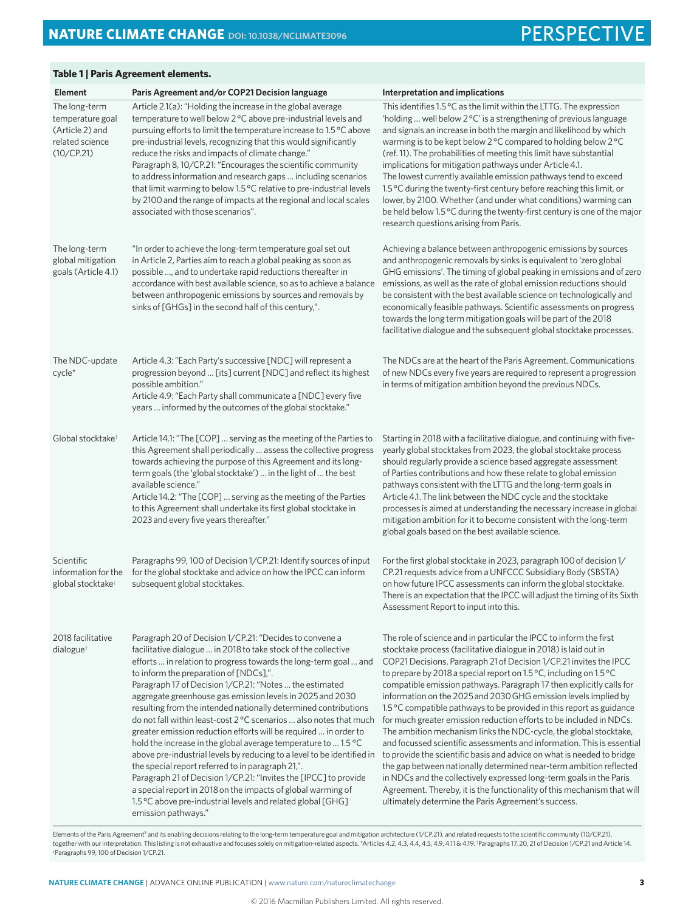### **Table 1 | Paris Agreement elements.**

| <b>Element</b>                                                                        | Paris Agreement and/or COP21 Decision language                                                                                                                                                                                                                                                                                                                                                                                                                                                                                                                                                                                                                                                                                                                                                                                                                                                                                                                                                          | Interpretation and implications                                                                                                                                                                                                                                                                                                                                                                                                                                                                                                                                                                                                                                                                                                                                                                                                                                                                                                                                                                                                                                                      |
|---------------------------------------------------------------------------------------|---------------------------------------------------------------------------------------------------------------------------------------------------------------------------------------------------------------------------------------------------------------------------------------------------------------------------------------------------------------------------------------------------------------------------------------------------------------------------------------------------------------------------------------------------------------------------------------------------------------------------------------------------------------------------------------------------------------------------------------------------------------------------------------------------------------------------------------------------------------------------------------------------------------------------------------------------------------------------------------------------------|--------------------------------------------------------------------------------------------------------------------------------------------------------------------------------------------------------------------------------------------------------------------------------------------------------------------------------------------------------------------------------------------------------------------------------------------------------------------------------------------------------------------------------------------------------------------------------------------------------------------------------------------------------------------------------------------------------------------------------------------------------------------------------------------------------------------------------------------------------------------------------------------------------------------------------------------------------------------------------------------------------------------------------------------------------------------------------------|
| The long-term<br>temperature goal<br>(Article 2) and<br>related science<br>(10/CP.21) | Article 2.1(a): "Holding the increase in the global average<br>temperature to well below 2 °C above pre-industrial levels and<br>pursuing efforts to limit the temperature increase to 1.5 °C above<br>pre-industrial levels, recognizing that this would significantly<br>reduce the risks and impacts of climate change."<br>Paragraph 8, 10/CP.21: "Encourages the scientific community<br>to address information and research gaps  including scenarios<br>that limit warming to below 1.5 °C relative to pre-industrial levels<br>by 2100 and the range of impacts at the regional and local scales<br>associated with those scenarios".                                                                                                                                                                                                                                                                                                                                                           | This identifies 1.5 °C as the limit within the LTTG. The expression<br>'holding  well below 2 °C' is a strengthening of previous language<br>and signals an increase in both the margin and likelihood by which<br>warming is to be kept below 2°C compared to holding below 2°C<br>(ref. 11). The probabilities of meeting this limit have substantial<br>implications for mitigation pathways under Article 4.1.<br>The lowest currently available emission pathways tend to exceed<br>1.5 °C during the twenty-first century before reaching this limit, or<br>lower, by 2100. Whether (and under what conditions) warming can<br>be held below 1.5 °C during the twenty-first century is one of the major<br>research questions arising from Paris.                                                                                                                                                                                                                                                                                                                              |
| The long-term<br>global mitigation<br>goals (Article 4.1)                             | "In order to achieve the long-term temperature goal set out<br>in Article 2, Parties aim to reach a global peaking as soon as<br>possible , and to undertake rapid reductions thereafter in<br>accordance with best available science, so as to achieve a balance<br>between anthropogenic emissions by sources and removals by<br>sinks of [GHGs] in the second half of this century,".                                                                                                                                                                                                                                                                                                                                                                                                                                                                                                                                                                                                                | Achieving a balance between anthropogenic emissions by sources<br>and anthropogenic removals by sinks is equivalent to 'zero global<br>GHG emissions'. The timing of global peaking in emissions and of zero<br>emissions, as well as the rate of global emission reductions should<br>be consistent with the best available science on technologically and<br>economically feasible pathways. Scientific assessments on progress<br>towards the long term mitigation goals will be part of the 2018<br>facilitative dialogue and the subsequent global stocktake processes.                                                                                                                                                                                                                                                                                                                                                                                                                                                                                                         |
| The NDC-update<br>$cycle*$                                                            | Article 4.3: "Each Party's successive [NDC] will represent a<br>progression beyond  [its] current [NDC] and reflect its highest<br>possible ambition."<br>Article 4.9: "Each Party shall communicate a [NDC] every five<br>years  informed by the outcomes of the global stocktake."                                                                                                                                                                                                                                                                                                                                                                                                                                                                                                                                                                                                                                                                                                                    | The NDCs are at the heart of the Paris Agreement. Communications<br>of new NDCs every five years are required to represent a progression<br>in terms of mitigation ambition beyond the previous NDCs.                                                                                                                                                                                                                                                                                                                                                                                                                                                                                                                                                                                                                                                                                                                                                                                                                                                                                |
| Global stocktake <sup>®</sup>                                                         | Article 14.1: "The [COP]  serving as the meeting of the Parties to<br>this Agreement shall periodically  assess the collective progress<br>towards achieving the purpose of this Agreement and its long-<br>term goals (the 'global stocktake')  in the light of  the best<br>available science."<br>Article 14.2: "The [COP]  serving as the meeting of the Parties<br>to this Agreement shall undertake its first global stocktake in<br>2023 and every five years thereafter."                                                                                                                                                                                                                                                                                                                                                                                                                                                                                                                       | Starting in 2018 with a facilitative dialogue, and continuing with five-<br>yearly global stocktakes from 2023, the global stocktake process<br>should regularly provide a science based aggregate assessment<br>of Parties contributions and how these relate to global emission<br>pathways consistent with the LTTG and the long-term goals in<br>Article 4.1. The link between the NDC cycle and the stocktake<br>processes is aimed at understanding the necessary increase in global<br>mitigation ambition for it to become consistent with the long-term<br>global goals based on the best available science.                                                                                                                                                                                                                                                                                                                                                                                                                                                                |
| Scientific<br>information for the<br>global stocktake <sup>®</sup>                    | Paragraphs 99, 100 of Decision 1/CP.21: Identify sources of input<br>for the global stocktake and advice on how the IPCC can inform<br>subsequent global stocktakes.                                                                                                                                                                                                                                                                                                                                                                                                                                                                                                                                                                                                                                                                                                                                                                                                                                    | For the first global stocktake in 2023, paragraph 100 of decision 1/<br>CP.21 requests advice from a UNFCCC Subsidiary Body (SBSTA)<br>on how future IPCC assessments can inform the global stocktake.<br>There is an expectation that the IPCC will adjust the timing of its Sixth<br>Assessment Report to input into this.                                                                                                                                                                                                                                                                                                                                                                                                                                                                                                                                                                                                                                                                                                                                                         |
| 2018 facilitative<br>dialogue <sup>†</sup>                                            | Paragraph 20 of Decision 1/CP.21: "Decides to convene a<br>facilitative dialogue  in 2018 to take stock of the collective<br>efforts  in relation to progress towards the long-term goal  and<br>to inform the preparation of [NDCs],".<br>Paragraph 17 of Decision 1/CP.21: "Notes  the estimated<br>aggregate greenhouse gas emission levels in 2025 and 2030<br>resulting from the intended nationally determined contributions<br>do not fall within least-cost 2 °C scenarios  also notes that much<br>greater emission reduction efforts will be required  in order to<br>hold the increase in the global average temperature to  1.5 °C<br>above pre-industrial levels by reducing to a level to be identified in<br>the special report referred to in paragraph 21,".<br>Paragraph 21 of Decision 1/CP.21: "Invites the [IPCC] to provide<br>a special report in 2018 on the impacts of global warming of<br>1.5 °C above pre-industrial levels and related global [GHG]<br>emission pathways." | The role of science and in particular the IPCC to inform the first<br>stocktake process (facilitative dialogue in 2018) is laid out in<br>COP21 Decisions. Paragraph 21 of Decision 1/CP.21 invites the IPCC<br>to prepare by 2018 a special report on 1.5 °C, including on 1.5 °C<br>compatible emission pathways. Paragraph 17 then explicitly calls for<br>information on the 2025 and 2030 GHG emission levels implied by<br>1.5 °C compatible pathways to be provided in this report as guidance<br>for much greater emission reduction efforts to be included in NDCs.<br>The ambition mechanism links the NDC-cycle, the global stocktake,<br>and focussed scientific assessments and information. This is essential<br>to provide the scientific basis and advice on what is needed to bridge<br>the gap between nationally determined near-term ambition reflected<br>in NDCs and the collectively expressed long-term goals in the Paris<br>Agreement. Thereby, it is the functionality of this mechanism that will<br>ultimately determine the Paris Agreement's success. |

Elements of the Paris Agreement<sup>3</sup> and its enabling decisions relating to the long-term temperature goal and mitigation architecture (1/CP.21), and related requests to the scientific community (10/CP.21),<br>together with our ‡ Paragraphs 99, 100 of Decision 1/CP.21.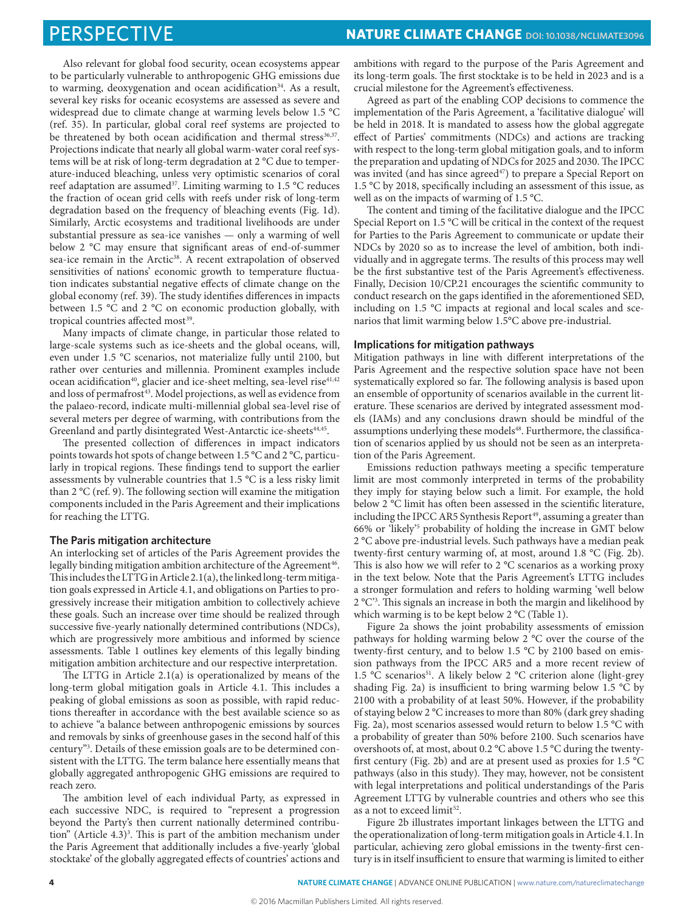Also relevant for global food security, ocean ecosystems appear to be particularly vulnerable to anthropogenic GHG emissions due to warming, deoxygenation and ocean acidification<sup>34</sup>. As a result, several key risks for oceanic ecosystems are assessed as severe and widespread due to climate change at warming levels below 1.5 °C (ref. 35). In particular, global coral reef systems are projected to be threatened by both ocean acidification and thermal stress<sup>36,37</sup>. Projections indicate that nearly all global warm-water coral reef systems will be at risk of long-term degradation at 2 °C due to temperature-induced bleaching, unless very optimistic scenarios of coral reef adaptation are assumed<sup>37</sup>. Limiting warming to 1.5 °C reduces the fraction of ocean grid cells with reefs under risk of long-term degradation based on the frequency of bleaching events (Fig. 1d). Similarly, Arctic ecosystems and traditional livelihoods are under substantial pressure as sea-ice vanishes — only a warming of well below 2 °C may ensure that significant areas of end-of-summer sea-ice remain in the Arctic<sup>38</sup>. A recent extrapolation of observed sensitivities of nations' economic growth to temperature fluctuation indicates substantial negative effects of climate change on the global economy (ref. 39). The study identifies differences in impacts between 1.5 °C and 2 °C on economic production globally, with tropical countries affected most<sup>39</sup>.

Many impacts of climate change, in particular those related to large-scale systems such as ice-sheets and the global oceans, will, even under 1.5 °C scenarios, not materialize fully until 2100, but rather over centuries and millennia. Prominent examples include ocean acidification<sup>40</sup>, glacier and ice-sheet melting, sea-level rise<sup>41,42</sup> and loss of permafrost<sup>43</sup>. Model projections, as well as evidence from the palaeo-record, indicate multi-millennial global sea-level rise of several meters per degree of warming, with contributions from the Greenland and partly disintegrated West-Antarctic ice-sheets<sup>44,45</sup>.

The presented collection of differences in impact indicators points towards hot spots of change between 1.5 °C and 2 °C, particularly in tropical regions. These findings tend to support the earlier assessments by vulnerable countries that 1.5 °C is a less risky limit than 2 °C (ref. 9). The following section will examine the mitigation components included in the Paris Agreement and their implications for reaching the LTTG.

#### **The Paris mitigation architecture**

An interlocking set of articles of the Paris Agreement provides the legally binding mitigation ambition architecture of the Agreement<sup>46</sup>. This includes the LTTG in Article 2.1(a), the linked long-term mitigation goals expressed in Article 4.1, and obligations on Parties to progressively increase their mitigation ambition to collectively achieve these goals. Such an increase over time should be realized through successive five-yearly nationally determined contributions (NDCs), which are progressively more ambitious and informed by science assessments. Table 1 outlines key elements of this legally binding mitigation ambition architecture and our respective interpretation.

The LTTG in Article 2.1(a) is operationalized by means of the long-term global mitigation goals in Article 4.1. This includes a peaking of global emissions as soon as possible, with rapid reductions thereafter in accordance with the best available science so as to achieve "a balance between anthropogenic emissions by sources and removals by sinks of greenhouse gases in the second half of this century"3 . Details of these emission goals are to be determined consistent with the LTTG. The term balance here essentially means that globally aggregated anthropogenic GHG emissions are required to reach zero.

The ambition level of each individual Party, as expressed in each successive NDC, is required to "represent a progression beyond the Party's then current nationally determined contribution" (Article 4.3)<sup>3</sup>. This is part of the ambition mechanism under the Paris Agreement that additionally includes a five-yearly 'global stocktake' of the globally aggregated effects of countries' actions and

ambitions with regard to the purpose of the Paris Agreement and its long-term goals. The first stocktake is to be held in 2023 and is a crucial milestone for the Agreement's effectiveness.

Agreed as part of the enabling COP decisions to commence the implementation of the Paris Agreement, a 'facilitative dialogue' will be held in 2018. It is mandated to assess how the global aggregate effect of Parties' commitments (NDCs) and actions are tracking with respect to the long-term global mitigation goals, and to inform the preparation and updating of NDCs for 2025 and 2030. The IPCC was invited (and has since agreed<sup>47</sup>) to prepare a Special Report on 1.5 °C by 2018, specifically including an assessment of this issue, as well as on the impacts of warming of 1.5 °C.

The content and timing of the facilitative dialogue and the IPCC Special Report on 1.5 °C will be critical in the context of the request for Parties to the Paris Agreement to communicate or update their NDCs by 2020 so as to increase the level of ambition, both individually and in aggregate terms. The results of this process may well be the first substantive test of the Paris Agreement's effectiveness. Finally, Decision 10/CP.21 encourages the scientific community to conduct research on the gaps identified in the aforementioned SED, including on 1.5 °C impacts at regional and local scales and scenarios that limit warming below 1.5°C above pre-industrial.

#### **Implications for mitigation pathways**

Mitigation pathways in line with different interpretations of the Paris Agreement and the respective solution space have not been systematically explored so far. The following analysis is based upon an ensemble of opportunity of scenarios available in the current literature. These scenarios are derived by integrated assessment models (IAMs) and any conclusions drawn should be mindful of the assumptions underlying these models<sup>48</sup>. Furthermore, the classification of scenarios applied by us should not be seen as an interpretation of the Paris Agreement.

Emissions reduction pathways meeting a specific temperature limit are most commonly interpreted in terms of the probability they imply for staying below such a limit. For example, the hold below 2 °C limit has often been assessed in the scientific literature, including the IPCC AR5 Synthesis Report<sup>49</sup>, assuming a greater than 66% or 'likely'5 probability of holding the increase in GMT below 2 °C above pre-industrial levels. Such pathways have a median peak twenty-first century warming of, at most, around 1.8 °C (Fig. 2b). This is also how we will refer to 2 °C scenarios as a working proxy in the text below. Note that the Paris Agreement's LTTG includes a stronger formulation and refers to holding warming 'well below 2 °C'3 . This signals an increase in both the margin and likelihood by which warming is to be kept below 2 °C (Table 1).

Figure 2a shows the joint probability assessments of emission pathways for holding warming below 2 °C over the course of the twenty-first century, and to below 1.5 °C by 2100 based on emission pathways from the IPCC AR5 and a more recent review of 1.5 °C scenarios<sup>51</sup>. A likely below 2 °C criterion alone (light-grey shading Fig. 2a) is insufficient to bring warming below 1.5 °C by 2100 with a probability of at least 50%. However, if the probability of staying below 2 °C increases to more than 80% (dark grey shading Fig. 2a), most scenarios assessed would return to below 1.5 °C with a probability of greater than 50% before 2100. Such scenarios have overshoots of, at most, about 0.2 °C above 1.5 °C during the twentyfirst century (Fig. 2b) and are at present used as proxies for 1.5 °C pathways (also in this study). They may, however, not be consistent with legal interpretations and political understandings of the Paris Agreement LTTG by vulnerable countries and others who see this as a not to exceed limit<sup>52</sup>.

Figure 2b illustrates important linkages between the LTTG and the operationalization of long-term mitigation goals in Article 4.1. In particular, achieving zero global emissions in the twenty-first century is in itself insufficient to ensure that warming is limited to either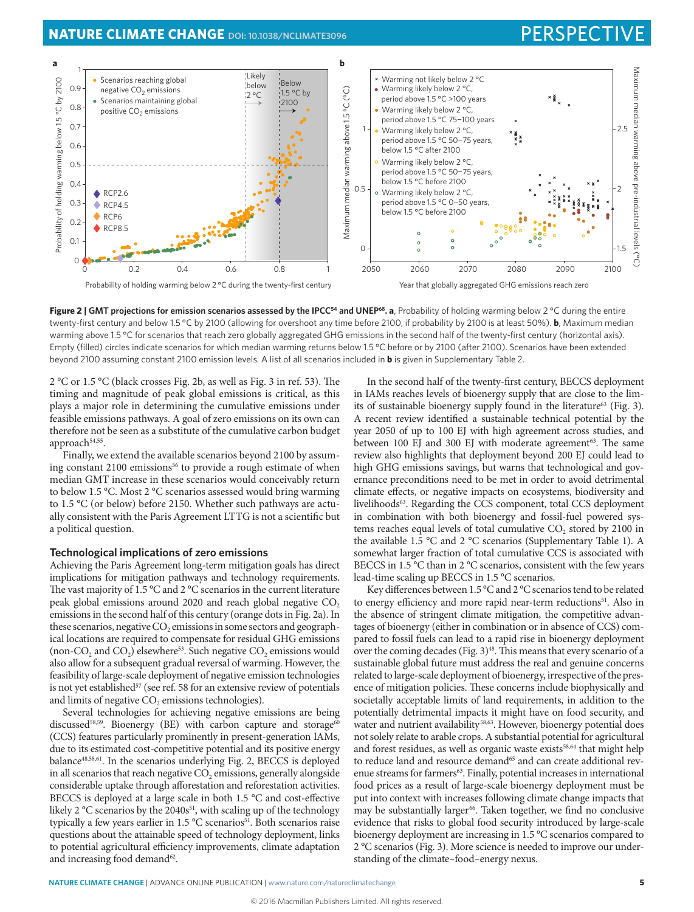## **NATURE CLIMATE CHANGE** [DOI: 10.1038/NCLIMATE3096](http://dx.doi.org/10.1038/nclimate3096) **PERSPECTIVE**



Figure 2 | GMT projections for emission scenarios assessed by the IPCC<sup>54</sup> and UNEP<sup>68</sup>. **a**, Probability of holding warming below 2 °C during the entire twenty-first century and below 1.5 °C by 2100 (allowing for overshoot any time before 2100, if probability by 2100 is at least 50%). **b**, Maximum median warming above 1.5 °C for scenarios that reach zero globally aggregated GHG emissions in the second half of the twenty-first century (horizontal axis). Empty (filled) circles indicate scenarios for which median warming returns below 1.5 °C before or by 2100 (after 2100). Scenarios have been extended beyond 2100 assuming constant 2100 emission levels*.* A list of all scenarios included in **b** is given in Supplementary Table 2.

2 °C or 1.5 °C (black crosses Fig. 2b, as well as Fig. 3 in ref. 53). The timing and magnitude of peak global emissions is critical, as this plays a major role in determining the cumulative emissions under feasible emissions pathways. A goal of zero emissions on its own can therefore not be seen as a substitute of the cumulative carbon budget approach<sup>54,55</sup>.

Finally, we extend the available scenarios beyond 2100 by assuming constant 2100 emissions<sup>56</sup> to provide a rough estimate of when median GMT increase in these scenarios would conceivably return to below 1.5 °C. Most 2 °C scenarios assessed would bring warming to 1.5 °C (or below) before 2150. Whether such pathways are actually consistent with the Paris Agreement LTTG is not a scientific but a political question.

#### **Technological implications of zero emissions**

Achieving the Paris Agreement long-term mitigation goals has direct implications for mitigation pathways and technology requirements. The vast majority of 1.5 °C and 2 °C scenarios in the current literature peak global emissions around 2020 and reach global negative CO<sub>2</sub> emissions in the second half of this century (orange dots in Fig. 2a). In these scenarios, negative  $CO<sub>2</sub>$  emissions in some sectors and geographical locations are required to compensate for residual GHG emissions (non-CO<sub>2</sub> and CO<sub>2</sub>) elsewhere<sup>53</sup>. Such negative CO<sub>2</sub> emissions would also allow for a subsequent gradual reversal of warming. However, the feasibility of large-scale deployment of negative emission technologies is not yet established<sup>57</sup> (see ref. 58 for an extensive review of potentials and limits of negative CO<sub>2</sub> emissions technologies).

Several technologies for achieving negative emissions are being discussed<sup>58,59</sup>. Bioenergy (BE) with carbon capture and storage<sup>61</sup> (CCS) features particularly prominently in present-generation IAMs, due to its estimated cost-competitive potential and its positive energy balance48,58,61. In the scenarios underlying Fig. 2, BECCS is deployed in all scenarios that reach negative  $CO<sub>2</sub>$  emissions, generally alongside considerable uptake through afforestation and reforestation activities. BECCS is deployed at a large scale in both 1.5 °C and cost-effective likely 2  $\rm{^{\circ}C}$  scenarios by the 2040s<sup>51</sup>, with scaling up of the technology typically a few years earlier in  $1.5 \text{ °C}$  scenarios<sup>51</sup>. Both scenarios raise questions about the attainable speed of technology deployment, links to potential agricultural efficiency improvements, climate adaptation and increasing food demand<sup>62</sup>.

In the second half of the twenty-first century, BECCS deployment in IAMs reaches levels of bioenergy supply that are close to the limits of sustainable bioenergy supply found in the literature<sup>63</sup> (Fig. 3). A recent review identified a sustainable technical potential by the year 2050 of up to 100 EJ with high agreement across studies, and between 100 EJ and 300 EJ with moderate agreement<sup>63</sup>. The same review also highlights that deployment beyond 200 EJ could lead to high GHG emissions savings, but warns that technological and governance preconditions need to be met in order to avoid detrimental climate effects, or negative impacts on ecosystems, biodiversity and livelihoods<sup>63</sup>. Regarding the CCS component, total CCS deployment in combination with both bioenergy and fossil-fuel powered systems reaches equal levels of total cumulative CO<sub>2</sub> stored by 2100 in the available 1.5 °C and 2 °C scenarios (Supplementary Table 1). A somewhat larger fraction of total cumulative CCS is associated with BECCS in 1.5 °C than in 2 °C scenarios, consistent with the few years lead-time scaling up BECCS in 1.5 °C scenarios.

Key differences between 1.5 °C and 2 °C scenarios tend to be related to energy efficiency and more rapid near-term reductions<sup>51</sup>. Also in the absence of stringent climate mitigation, the competitive advantages of bioenergy (either in combination or in absence of CCS) compared to fossil fuels can lead to a rapid rise in bioenergy deployment over the coming decades (Fig. 3)<sup>48</sup>. This means that every scenario of a sustainable global future must address the real and genuine concerns related to large-scale deployment of bioenergy, irrespective of the presence of mitigation policies. These concerns include biophysically and societally acceptable limits of land requirements, in addition to the potentially detrimental impacts it might have on food security, and water and nutrient availability<sup>58,63</sup>. However, bioenergy potential does not solely relate to arable crops. A substantial potential for agricultural and forest residues, as well as organic waste exists<sup>58,64</sup> that might help to reduce land and resource demand<sup>65</sup> and can create additional revenue streams for farmers<sup>63</sup>. Finally, potential increases in international food prices as a result of large-scale bioenergy deployment must be put into context with increases following climate change impacts that may be substantially larger<sup>66</sup>. Taken together, we find no conclusive evidence that risks to global food security introduced by large-scale bioenergy deployment are increasing in 1.5 °C scenarios compared to 2 °C scenarios (Fig. 3). More science is needed to improve our understanding of the climate–food–energy nexus.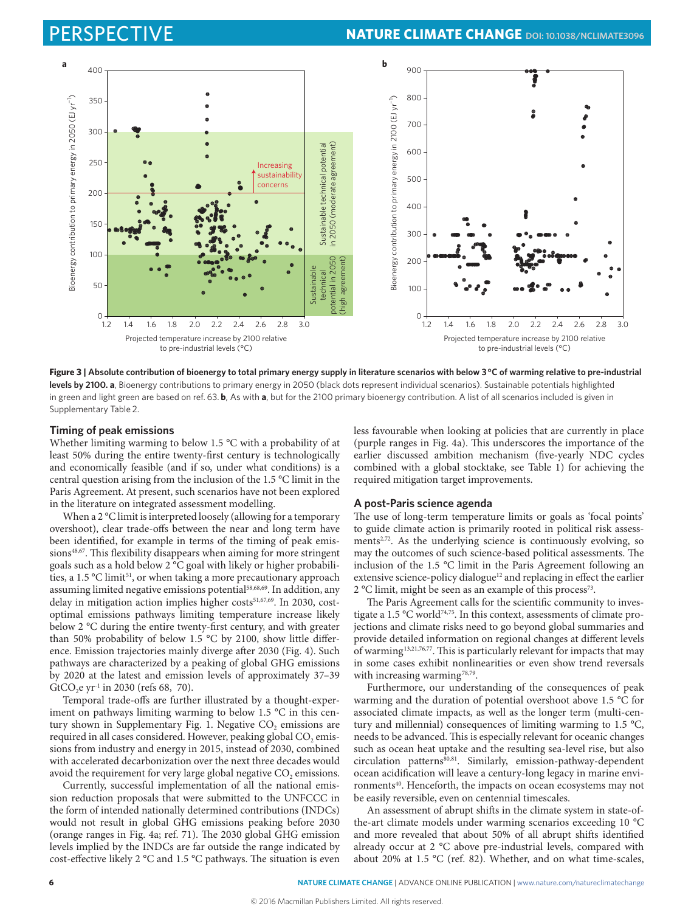

Figure 3 | Absolute contribution of bioenergy to total primary energy supply in literature scenarios with below 3°C of warming relative to pre-industrial **levels by 2100. a**, Bioenergy contributions to primary energy in 2050 (black dots represent individual scenarios). Sustainable potentials highlighted in green and light green are based on ref. 63. **b**, As with **a**, but for the 2100 primary bioenergy contribution. A list of all scenarios included is given in Supplementary Table 2.

#### **Timing of peak emissions**

Whether limiting warming to below 1.5 °C with a probability of at least 50% during the entire twenty-first century is technologically and economically feasible (and if so, under what conditions) is a central question arising from the inclusion of the 1.5 °C limit in the Paris Agreement. At present, such scenarios have not been explored in the literature on integrated assessment modelling.

When a 2 °C limit is interpreted loosely (allowing for a temporary overshoot), clear trade-offs between the near and long term have been identified, for example in terms of the timing of peak emissions<sup>48,67</sup>. This flexibility disappears when aiming for more stringent goals such as a hold below 2 °C goal with likely or higher probabilities, a 1.5 °C limit<sup>51</sup>, or when taking a more precautionary approach assuming limited negative emissions potential<sup>58,68,69</sup>. In addition, any delay in mitigation action implies higher costs<sup>51,67,69</sup>. In 2030, costoptimal emissions pathways limiting temperature increase likely below 2 °C during the entire twenty-first century, and with greater than 50% probability of below 1.5 °C by 2100, show little difference. Emission trajectories mainly diverge after 2030 (Fig. 4). Such pathways are characterized by a peaking of global GHG emissions by 2020 at the latest and emission levels of approximately 37–39 GtCO<sub>2</sub>e yr<sup>-1</sup> in 2030 (refs 68, 70).

Temporal trade-offs are further illustrated by a thought-experiment on pathways limiting warming to below 1.5 °C in this century shown in Supplementary Fig. 1. Negative  $CO<sub>2</sub>$  emissions are required in all cases considered. However, peaking global CO<sub>2</sub> emissions from industry and energy in 2015, instead of 2030, combined with accelerated decarbonization over the next three decades would avoid the requirement for very large global negative  $CO<sub>2</sub>$  emissions.

Currently, successful implementation of all the national emission reduction proposals that were submitted to the UNFCCC in the form of intended nationally determined contributions (INDCs) would not result in global GHG emissions peaking before 2030 (orange ranges in Fig. 4a; ref. 71). The 2030 global GHG emission levels implied by the INDCs are far outside the range indicated by cost-effective likely 2 °C and 1.5 °C pathways. The situation is even

less favourable when looking at policies that are currently in place (purple ranges in Fig. 4a). This underscores the importance of the earlier discussed ambition mechanism (five-yearly NDC cycles combined with a global stocktake, see Table 1) for achieving the required mitigation target improvements.

#### **A post-Paris science agenda**

The use of long-term temperature limits or goals as 'focal points' to guide climate action is primarily rooted in political risk assessments $2^{3}$ . As the underlying science is continuously evolving, so may the outcomes of such science-based political assessments. The inclusion of the 1.5 °C limit in the Paris Agreement following an extensive science-policy dialogue<sup>12</sup> and replacing in effect the earlier 2 °C limit, might be seen as an example of this process<sup>73</sup>.

The Paris Agreement calls for the scientific community to investigate a 1.5 °C world<sup>74,75</sup>. In this context, assessments of climate projections and climate risks need to go beyond global summaries and provide detailed information on regional changes at different levels of warming13,21,76,77. This is particularly relevant for impacts that may in some cases exhibit nonlinearities or even show trend reversals with increasing warming<sup>78,79</sup>.

Furthermore, our understanding of the consequences of peak warming and the duration of potential overshoot above 1.5 °C for associated climate impacts, as well as the longer term (multi-century and millennial) consequences of limiting warming to 1.5 °C, needs to be advanced. This is especially relevant for oceanic changes such as ocean heat uptake and the resulting sea-level rise, but also  $circulation$  patterns $\frac{80,81}{1}$ . Similarly, emission-pathway-dependent ocean acidification will leave a century-long legacy in marine environments<sup>40</sup>. Henceforth, the impacts on ocean ecosystems may not be easily reversible, even on centennial timescales.

An assessment of abrupt shifts in the climate system in state-ofthe-art climate models under warming scenarios exceeding 10 °C and more revealed that about 50% of all abrupt shifts identified already occur at 2 °C above pre-industrial levels, compared with about 20% at 1.5 °C (ref. 82). Whether, and on what time-scales,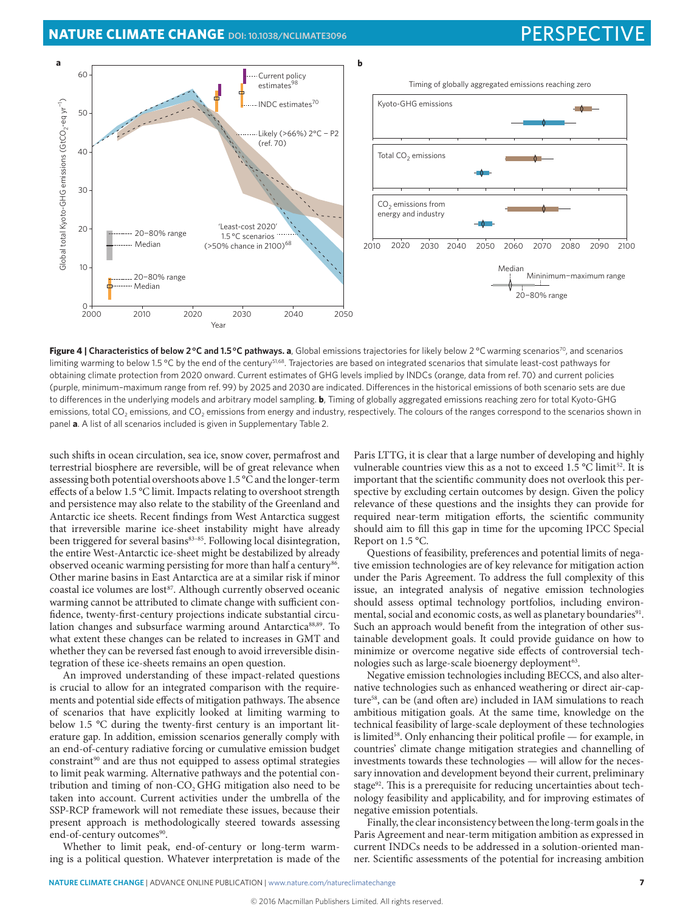**NATURE CLIMATE CHANGE** [DOI: 10.1038/NCLIMATE3096](http://dx.doi.org/10.1038/nclimate3096) **PERSPECTIVE** 



Figure 4 | Characteristics of below 2°C and 1.5°C pathways. a, Global emissions trajectories for likely below 2°C warming scenarios<sup>70</sup>, and scenarios limiting warming to below 1.5 °C by the end of the century<sup>51,68</sup>. Trajectories are based on integrated scenarios that simulate least-cost pathways for obtaining climate protection from 2020 onward. Current estimates of GHG levels implied by INDCs (orange, data from ref. 70) and current policies (purple, minimum–maximum range from ref. 99) by 2025 and 2030 are indicated. Differences in the historical emissions of both scenario sets are due to differences in the underlying models and arbitrary model sampling. **b**, Timing of globally aggregated emissions reaching zero for total Kyoto-GHG emissions, total CO<sub>2</sub> emissions, and CO<sub>2</sub> emissions from energy and industry, respectively. The colours of the ranges correspond to the scenarios shown in panel **a**. A list of all scenarios included is given in Supplementary Table 2.

such shifts in ocean circulation, sea ice, snow cover, permafrost and terrestrial biosphere are reversible, will be of great relevance when assessing both potential overshoots above 1.5 °C and the longer-term effects of a below 1.5 °C limit. Impacts relating to overshoot strength and persistence may also relate to the stability of the Greenland and Antarctic ice sheets. Recent findings from West Antarctica suggest that irreversible marine ice-sheet instability might have already been triggered for several basins $83-85$ . Following local disintegration, the entire West-Antarctic ice-sheet might be destabilized by already observed oceanic warming persisting for more than half a century<sup>86</sup>. Other marine basins in East Antarctica are at a similar risk if minor coastal ice volumes are lost<sup>87</sup>. Although currently observed oceanic warming cannot be attributed to climate change with sufficient confidence, twenty-first-century projections indicate substantial circulation changes and subsurface warming around Antarctica<sup>88,89</sup>. To what extent these changes can be related to increases in GMT and whether they can be reversed fast enough to avoid irreversible disintegration of these ice-sheets remains an open question.

An improved understanding of these impact-related questions is crucial to allow for an integrated comparison with the requirements and potential side effects of mitigation pathways. The absence of scenarios that have explicitly looked at limiting warming to below 1.5 °C during the twenty-first century is an important literature gap. In addition, emission scenarios generally comply with an end-of-century radiative forcing or cumulative emission budget constraint<sup>90</sup> and are thus not equipped to assess optimal strategies to limit peak warming. Alternative pathways and the potential contribution and timing of non-CO<sub>2</sub> GHG mitigation also need to be taken into account. Current activities under the umbrella of the SSP-RCP framework will not remediate these issues, because their present approach is methodologically steered towards assessing end-of-century outcomes<sup>90</sup>.

Whether to limit peak, end-of-century or long-term warming is a political question. Whatever interpretation is made of the Paris LTTG, it is clear that a large number of developing and highly vulnerable countries view this as a not to exceed 1.5 °C limit<sup>52</sup>. It is important that the scientific community does not overlook this perspective by excluding certain outcomes by design. Given the policy relevance of these questions and the insights they can provide for required near-term mitigation efforts, the scientific community should aim to fill this gap in time for the upcoming IPCC Special Report on 1.5 °C.

Questions of feasibility, preferences and potential limits of negative emission technologies are of key relevance for mitigation action under the Paris Agreement. To address the full complexity of this issue, an integrated analysis of negative emission technologies should assess optimal technology portfolios, including environmental, social and economic costs, as well as planetary boundaries<sup>91</sup>. Such an approach would benefit from the integration of other sustainable development goals. It could provide guidance on how to minimize or overcome negative side effects of controversial technologies such as large-scale bioenergy deployment<sup>63</sup>.

Negative emission technologies including BECCS, and also alternative technologies such as enhanced weathering or direct air-capture<sup>58</sup>, can be (and often are) included in IAM simulations to reach ambitious mitigation goals. At the same time, knowledge on the technical feasibility of large-scale deployment of these technologies is limited<sup>58</sup>. Only enhancing their political profile — for example, in countries' climate change mitigation strategies and channelling of investments towards these technologies — will allow for the necessary innovation and development beyond their current, preliminary stage<sup>92</sup>. This is a prerequisite for reducing uncertainties about technology feasibility and applicability, and for improving estimates of negative emission potentials.

Finally, the clear inconsistency between the long-term goals in the Paris Agreement and near-term mitigation ambition as expressed in current INDCs needs to be addressed in a solution-oriented manner. Scientific assessments of the potential for increasing ambition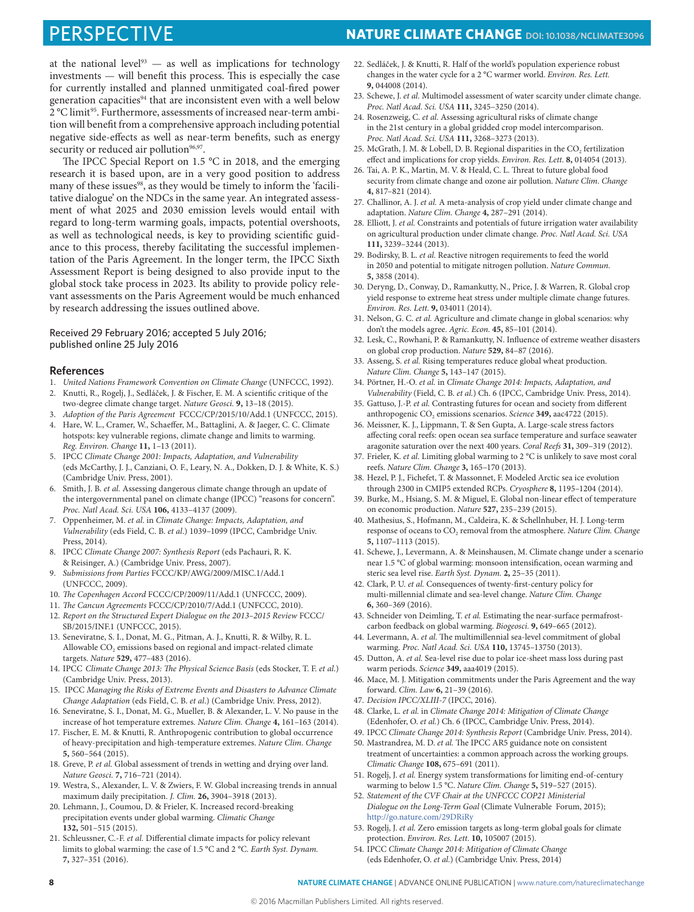at the national level<sup>93</sup>  $-$  as well as implications for technology investments — will benefit this process. This is especially the case for currently installed and planned unmitigated coal-fired power generation capacities<sup>94</sup> that are inconsistent even with a well below 2 °C limit<sup>95</sup>. Furthermore, assessments of increased near-term ambition will benefit from a comprehensive approach including potential negative side-effects as well as near-term benefits, such as energy security or reduced air pollution<sup>96,97</sup>.

The IPCC Special Report on 1.5 °C in 2018, and the emerging research it is based upon, are in a very good position to address many of these issues<sup>98</sup>, as they would be timely to inform the 'facilitative dialogue' on the NDCs in the same year. An integrated assessment of what 2025 and 2030 emission levels would entail with regard to long-term warming goals, impacts, potential overshoots, as well as technological needs, is key to providing scientific guidance to this process, thereby facilitating the successful implementation of the Paris Agreement. In the longer term, the IPCC Sixth Assessment Report is being designed to also provide input to the global stock take process in 2023. Its ability to provide policy relevant assessments on the Paris Agreement would be much enhanced by research addressing the issues outlined above.

#### Received 29 February 2016; accepted 5 July 2016; published online 25 July 2016

#### **References**

- 1. *United Nations Framework Convention on Climate Change* (UNFCCC, 1992).
- 2. Knutti, R., Rogelj, J., Sedláček, J. & Fischer, E. M. A scientific critique of the two-degree climate change target. *Nature Geosci.* **9,** 13–18 (2015).
- 3. *Adoption of the Paris Agreement* FCCC/CP/2015/10/Add.1 (UNFCCC, 2015). 4. Hare, W. L., Cramer, W., Schaeffer, M., Battaglini, A. & Jaeger, C. C. Climate
- hotspots: key vulnerable regions, climate change and limits to warming. *Reg. Environ. Change* **11,** 1–13 (2011).
- 5. IPCC *Climate Change 2001: Impacts, Adaptation, and Vulnerability* (eds McCarthy, J. J., Canziani, O. F., Leary, N. A., Dokken, D. J. & White, K. S.) (Cambridge Univ. Press, 2001).
- 6. Smith, J. B. *et al.* Assessing dangerous climate change through an update of the intergovernmental panel on climate change (IPCC) "reasons for concern". *Proc. Natl Acad. Sci. USA* **106,** 4133–4137 (2009).
- 7. Oppenheimer, M. *et al*. in *Climate Change: Impacts, Adaptation, and Vulnerability* (eds Field, C. B. *et al*.) 1039–1099 (IPCC, Cambridge Univ. Press, 2014).
- 8. IPCC *Climate Change 2007: Synthesis Report* (eds Pachauri, R. K. & Reisinger, A.) (Cambridge Univ. Press, 2007).
- 9. *Submissions from Parties* FCCC/KP/AWG/2009/MISC.1/Add.1 (UNFCCC, 2009).
- 10. *The Copenhagen Accord* FCCC/CP/2009/11/Add.1 (UNFCCC, 2009).
- 11. *The Cancun Agreements* FCCC/CP/2010/7/Add.1 (UNFCCC, 2010).
- 12. *Report on the Structured Expert Dialogue on the 2013–2015 Review* FCCC/ SB/2015/INF.1 (UNFCCC, 2015).
- 13. Seneviratne, S. I., Donat, M. G., Pitman, A. J., Knutti, R. & Wilby, R. L. Allowable  $\mathrm{CO}_2$  emissions based on regional and impact-related climate targets. *Nature* **529,** 477–483 (2016).
- 14. IPCC *Climate Change 2013: The Physical Science Basis* (eds Stocker, T. F. *et al*.) (Cambridge Univ. Press, 2013).
- 15. IPCC *Managing the Risks of Extreme Events and Disasters to Advance Climate Change Adaptation* (eds Field, C. B. *et al*.) (Cambridge Univ. Press, 2012).
- 16. Seneviratne, S. I., Donat, M. G., Mueller, B. & Alexander, L. V. No pause in the increase of hot temperature extremes. *Nature Clim. Change* **4,** 161–163 (2014).
- 17. Fischer, E. M. & Knutti, R. Anthropogenic contribution to global occurrence of heavy-precipitation and high-temperature extremes. *Nature Clim. Change* **5,** 560–564 (2015).
- 18. Greve, P. *et al.* Global assessment of trends in wetting and drying over land. *Nature Geosci.* **7,** 716–721 (2014).
- 19. Westra, S., Alexander, L. V. & Zwiers, F. W. Global increasing trends in annual maximum daily precipitation. *J. Clim.* **26,** 3904–3918 (2013).
- 20. Lehmann, J., Coumou, D. & Frieler, K. Increased record-breaking precipitation events under global warming. *Climatic Change* **132,** 501–515 (2015).
- 21. Schleussner, C.-F. *et al.* Differential climate impacts for policy relevant limits to global warming: the case of 1.5 °C and 2 °C. *Earth Syst. Dynam.* **7,** 327–351 (2016).
- 22. Sedláček, J. & Knutti, R. Half of the world's population experience robust changes in the water cycle for a 2 °C warmer world. *Environ. Res. Lett.* **9,** 044008 (2014).
- 23. Schewe, J. *et al.* Multimodel assessment of water scarcity under climate change. *Proc. Natl Acad. Sci. USA* **111,** 3245–3250 (2014).
- 24. Rosenzweig, C. *et al.* Assessing agricultural risks of climate change in the 21st century in a global gridded crop model intercomparison. *Proc. Natl Acad. Sci. USA* **111,** 3268–3273 (2013).
- 25. McGrath, J. M. & Lobell, D. B. Regional disparities in the CO<sub>2</sub> fertilization effect and implications for crop yields. *Environ. Res. Lett.* **8,** 014054 (2013).
- 26. Tai, A. P. K., Martin, M. V. & Heald, C. L. Threat to future global food security from climate change and ozone air pollution. *Nature Clim. Change* **4,** 817–821 (2014).
- 27. Challinor, A. J. *et al.* A meta-analysis of crop yield under climate change and adaptation. *Nature Clim. Change* **4,** 287–291 (2014).
- 28. Elliott, J. *et al.* Constraints and potentials of future irrigation water availability on agricultural production under climate change. *Proc. Natl Acad. Sci. USA* **111,** 3239–3244 (2013).
- 29. Bodirsky, B. L. *et al.* Reactive nitrogen requirements to feed the world in 2050 and potential to mitigate nitrogen pollution. *Nature Commun.* **5,** 3858 (2014).
- 30. Deryng, D., Conway, D., Ramankutty, N., Price, J. & Warren, R. Global crop yield response to extreme heat stress under multiple climate change futures. *Environ. Res. Lett.* **9,** 034011 (2014).
- 31. Nelson, G. C. *et al.* Agriculture and climate change in global scenarios: why don't the models agree. *Agric. Econ.* **45,** 85–101 (2014).
- 32. Lesk, C., Rowhani, P. & Ramankutty, N. Influence of extreme weather disasters on global crop production. *Nature* **529,** 84–87 (2016).
- 33. Asseng, S. *et al.* Rising temperatures reduce global wheat production. *Nature Clim. Change* **5,** 143–147 (2015).
- 34. Pörtner, H.-O. *et al.* in *Climate Change 2014: Impacts, Adaptation, and Vulnerability* (Field, C. B. *et al.*) Ch. 6 (IPCC, Cambridge Univ. Press, 2014).
- 35. Gattuso, J.-P. *et al.* Contrasting futures for ocean and society from different anthropogenic CO<sub>2</sub> emissions scenarios. *Science* 349, aac4722 (2015).
- 36. Meissner, K. J., Lippmann, T. & Sen Gupta, A. Large-scale stress factors affecting coral reefs: open ocean sea surface temperature and surface seawater aragonite saturation over the next 400 years. *Coral Reefs* **31,** 309–319 (2012).
- 37. Frieler, K. *et al.* Limiting global warming to 2 °C is unlikely to save most coral reefs. *Nature Clim. Change* **3,** 165–170 (2013).
- 38. Hezel, P. J., Fichefet, T. & Massonnet, F. Modeled Arctic sea ice evolution through 2300 in CMIP5 extended RCPs. *Cryosphere* **8,** 1195–1204 (2014).
- 39. Burke, M., Hsiang, S. M. & Miguel, E. Global non-linear effect of temperature on economic production. *Nature* **527,** 235–239 (2015).
- 40. Mathesius, S., Hofmann, M., Caldeira, K. & Schellnhuber, H. J. Long-term response of oceans to CO<sub>2</sub> removal from the atmosphere. *Nature Clim. Change* **5,** 1107–1113 (2015).
- 41. Schewe, J., Levermann, A. & Meinshausen, M. Climate change under a scenario near 1.5 °C of global warming: monsoon intensification, ocean warming and steric sea level rise. *Earth Syst. Dynam.* **2,** 25–35 (2011).
- 42. Clark, P. U. *et al.* Consequences of twenty-first-century policy for multi-millennial climate and sea-level change. *Nature Clim. Change* **6,** 360–369 (2016).
- 43. Schneider von Deimling, T. *et al.* Estimating the near-surface permafrostcarbon feedback on global warming. *Biogeosci.* **9,** 649–665 (2012).
- 44. Levermann, A. *et al.* The multimillennial sea-level commitment of global warming. *Proc. Natl Acad. Sci. USA* **110,** 13745–13750 (2013).
- 45. Dutton, A. *et al.* Sea-level rise due to polar ice-sheet mass loss during past warm periods. *Science* **349,** aaa4019 (2015).
- 46. Mace, M. J. Mitigation commitments under the Paris Agreement and the way forward. *Clim. Law* **6,** 21–39 (2016).
- 47. *Decision IPCC/XLIII-7* (IPCC, 2016).
- 48. Clarke, L. *et al.* in *Climate Change 2014: Mitigation of Climate Change* (Edenhofer, O. *et al.*) Ch. 6 (IPCC, Cambridge Univ. Press, 2014).
- 49. IPCC *Climate Change 2014: Synthesis Report* (Cambridge Univ. Press, 2014). 50. Mastrandrea, M. D. *et al.* The IPCC AR5 guidance note on consistent
- treatment of uncertainties: a common approach across the working groups. *Climatic Change* **108,** 675–691 (2011).
- 51. Rogelj, J. *et al.* Energy system transformations for limiting end-of-century warming to below 1.5 °C. *Nature Clim. Change* **5,** 519–527 (2015).
- 52. *Statement of the CVF Chair at the UNFCCC COP21 Ministerial Dialogue on the Long-Term Goal* (Climate Vulnerable Forum, 2015); <http://go.nature.com/29DRiRy>
- 53. Rogelj, J. *et al.* Zero emission targets as long-term global goals for climate protection. *Environ. Res. Lett.* **10,** 105007 (2015).
- 54. IPCC *Climate Change 2014: Mitigation of Climate Change* (eds Edenhofer, O. *et al.*) (Cambridge Univ. Press, 2014)